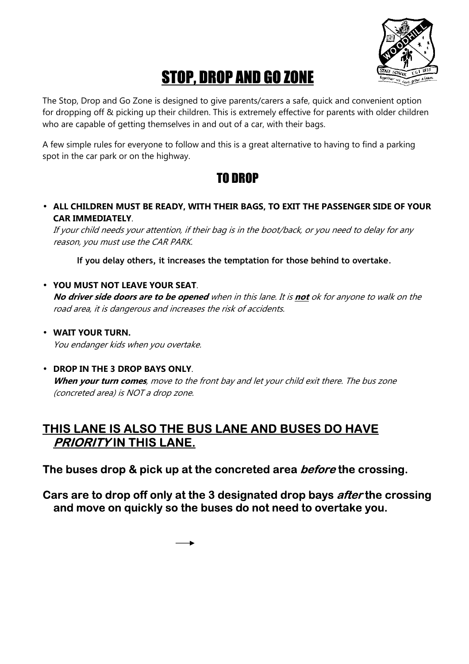

# STOP, DROP AND GO ZONE

The Stop, Drop and Go Zone is designed to give parents/carers a safe, quick and convenient option for dropping off & picking up their children. This is extremely effective for parents with older children who are capable of getting themselves in and out of a car, with their bags.

A few simple rules for everyone to follow and this is a great alternative to having to find a parking spot in the car park or on the highway.

### TO DROP

• **ALL CHILDREN MUST BE READY, WITH THEIR BAGS, TO EXIT THE PASSENGER SIDE OF YOUR CAR IMMEDIATELY**.

If your child needs your attention, if their bag is in the boot/back, or you need to delay for any reason, you must use the CAR PARK.

**If you delay others, it increases the temptation for those behind to overtake**.

#### • **YOU MUST NOT LEAVE YOUR SEAT**.

**No driver side doors are to be opened** when in this lane. It is **not** ok for anyone to walk on the road area, it is dangerous and increases the risk of accidents.

• **WAIT YOUR TURN.** You endanger kids when you overtake.

#### • **DROP IN THE 3 DROP BAYS ONLY**.

**When your turn comes**, move to the front bay and let your child exit there. The bus zone (concreted area) is NOT a drop zone.

### **THIS LANE IS ALSO THE BUS LANE AND BUSES DO HAVE PRIORITY IN THIS LANE.**

**The buses drop & pick up at the concreted area before the crossing.** 

**Cars are to drop off only at the 3 designated drop bays after the crossing and move on quickly so the buses do not need to overtake you.**